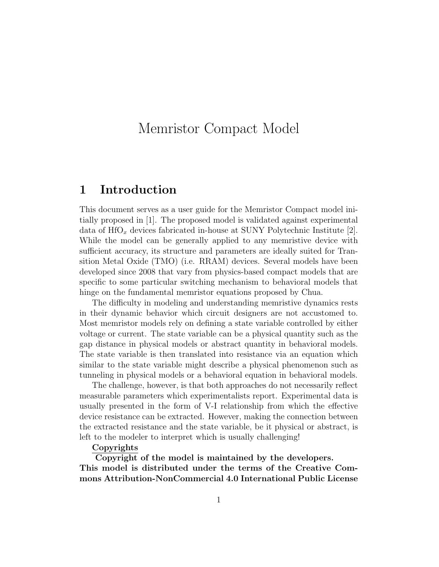# Memristor Compact Model

### 1 Introduction

This document serves as a user guide for the Memristor Compact model initially proposed in [1]. The proposed model is validated against experimental data of  $\text{HfO}_x$  devices fabricated in-house at SUNY Polytechnic Institute [2]. While the model can be generally applied to any memristive device with sufficient accuracy, its structure and parameters are ideally suited for Transition Metal Oxide (TMO) (i.e. RRAM) devices. Several models have been developed since 2008 that vary from physics-based compact models that are specific to some particular switching mechanism to behavioral models that hinge on the fundamental memristor equations proposed by Chua.

The difficulty in modeling and understanding memristive dynamics rests in their dynamic behavior which circuit designers are not accustomed to. Most memristor models rely on defining a state variable controlled by either voltage or current. The state variable can be a physical quantity such as the gap distance in physical models or abstract quantity in behavioral models. The state variable is then translated into resistance via an equation which similar to the state variable might describe a physical phenomenon such as tunneling in physical models or a behavioral equation in behavioral models.

The challenge, however, is that both approaches do not necessarily reflect measurable parameters which experimentalists report. Experimental data is usually presented in the form of V-I relationship from which the effective device resistance can be extracted. However, making the connection between the extracted resistance and the state variable, be it physical or abstract, is left to the modeler to interpret which is usually challenging!

#### Copyrights

Copyright of the model is maintained by the developers. This model is distributed under the terms of the Creative Commons Attribution-NonCommercial 4.0 International Public License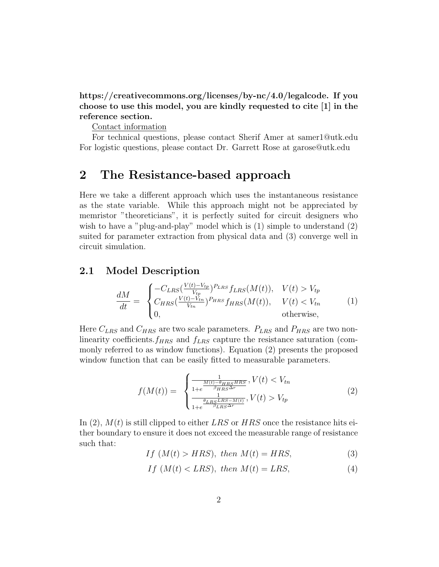https://creativecommons.org/licenses/by-nc/4.0/legalcode. If you choose to use this model, you are kindly requested to cite [1] in the reference section.

Contact information

For technical questions, please contact Sherif Amer at samer1@utk.edu For logistic questions, please contact Dr. Garrett Rose at garose@utk.edu

## 2 The Resistance-based approach

Here we take a different approach which uses the instantaneous resistance as the state variable. While this approach might not be appreciated by memristor "theoreticians", it is perfectly suited for circuit designers who wish to have a "plug-and-play" model which is  $(1)$  simple to understand  $(2)$ suited for parameter extraction from physical data and (3) converge well in circuit simulation.

#### 2.1 Model Description

$$
\frac{dM}{dt} = \begin{cases}\n-C_{LRS}(\frac{V(t)-V_{tp}}{V_{tp}})^{P_{LRS}}f_{LRS}(M(t)), & V(t) > V_{tp} \\
C_{HRS}(\frac{V(t)-V_{tn}}{V_{tn}})^{P_{HRS}}f_{HRS}(M(t)), & V(t) < V_{tn} \\
0, & \text{otherwise,} \n\end{cases}
$$
\n(1)

Here  $C_{LRS}$  and  $C_{HRS}$  are two scale parameters.  $P_{LRS}$  and  $P_{HRS}$  are two nonlinearity coefficients. $f_{HRS}$  and  $f_{LRS}$  capture the resistance saturation (commonly referred to as window functions). Equation (2) presents the proposed window function that can be easily fitted to measurable parameters.

$$
f(M(t)) = \begin{cases} \frac{1}{1 + e^{-\frac{M(t) - \theta_{HRS} HRS}{\beta_{HRS} \Delta r}}, V(t) < V_{tn} \\ \frac{1}{1 + e^{-\frac{\theta_{LRS} LRS - M(t)}{\beta_{LRS} \Delta r}}, V(t) > V_{tp} \end{cases} \tag{2}
$$

In (2),  $M(t)$  is still clipped to either LRS or HRS once the resistance hits either boundary to ensure it does not exceed the measurable range of resistance such that:

$$
If (M(t) > HRS), then M(t) = HRS,
$$
\n(3)

$$
If (M(t) < LRS), then M(t) = LRS,
$$
\n<sup>(4)</sup>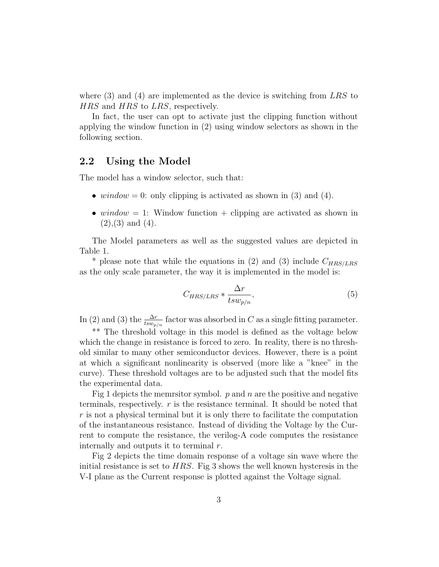where  $(3)$  and  $(4)$  are implemented as the device is switching from LRS to HRS and HRS to LRS, respectively.

In fact, the user can opt to activate just the clipping function without applying the window function in (2) using window selectors as shown in the following section.

#### 2.2 Using the Model

The model has a window selector, such that:

- window = 0: only clipping is activated as shown in (3) and (4).
- window  $= 1$ : Window function  $+$  clipping are activated as shown in  $(2), (3)$  and  $(4)$ .

The Model parameters as well as the suggested values are depicted in Table 1.

\* please note that while the equations in (2) and (3) include  $C_{HRS/LRS}$ as the only scale parameter, the way it is implemented in the model is:

$$
C_{HRS/LRS} * \frac{\Delta r}{t s w_{p/n}},\tag{5}
$$

In (2) and (3) the  $\frac{\Delta r}{tsw_{p/n}}$  factor was absorbed in C as a single fitting parameter.

\*\* The threshold voltage in this model is defined as the voltage below which the change in resistance is forced to zero. In reality, there is no threshold similar to many other semiconductor devices. However, there is a point at which a significant nonlinearity is observed (more like a "knee" in the curve). These threshold voltages are to be adjusted such that the model fits the experimental data.

Fig 1 depicts the memrsitor symbol.  $p$  and  $n$  are the positive and negative terminals, respectively.  $r$  is the resistance terminal. It should be noted that  $r$  is not a physical terminal but it is only there to facilitate the computation of the instantaneous resistance. Instead of dividing the Voltage by the Current to compute the resistance, the verilog-A code computes the resistance internally and outputs it to terminal  $r$ .

Fig 2 depicts the time domain response of a voltage sin wave where the initial resistance is set to  $HRS$ . Fig 3 shows the well known hysteresis in the V-I plane as the Current response is plotted against the Voltage signal.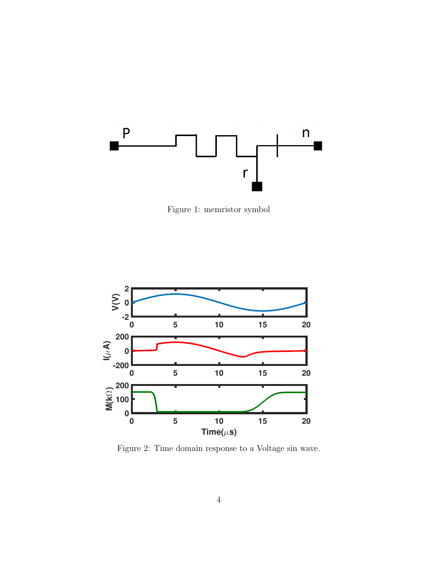

Figure 1: memristor symbol



Figure 2: Time domain response to a Voltage sin wave.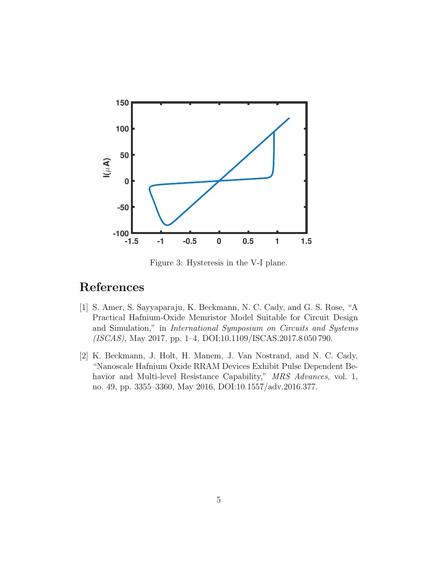

Figure 3: Hysteresis in the V-I plane.

## References

- [1] S. Amer, S. Sayyaparaju, K. Beckmann, N. C. Cady, and G. S. Rose, "A Practical Hafnium-Oxide Memristor Model Suitable for Circuit Design and Simulation," in International Symposium on Circuits and Systems (ISCAS), May 2017, pp. 1–4, DOI:10.1109/ISCAS.2017.8 050 790.
- [2] K. Beckmann, J. Holt, H. Manem, J. Van Nostrand, and N. C. Cady, "Nanoscale Hafnium Oxide RRAM Devices Exhibit Pulse Dependent Behavior and Multi-level Resistance Capability," MRS Advances, vol. 1, no. 49, pp. 3355–3360, May 2016, DOI:10.1557/adv.2016.377.